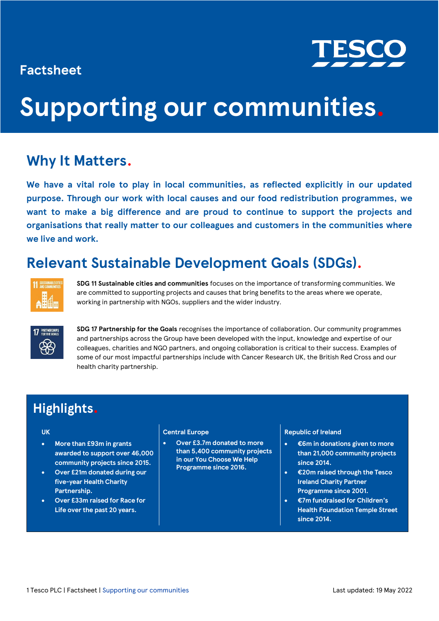### **Factsheet**



## **Supporting our communities.**

### **Why It Matters.**

**We have a vital role to play in local communities, as reflected explicitly in our updated purpose. Through our work with local causes and our food redistribution programmes, we want to make a big difference and are proud to continue to support the projects and organisations that really matter to our colleagues and customers in the communities where we live and work.**

### **Relevant Sustainable Development Goals (SDGs).**



**SDG 11 Sustainable cities and communities** focuses on the importance of transforming communities. We are committed to supporting projects and causes that bring benefits to the areas where we operate, working in partnership with NGOs, suppliers and the wider industry.



**SDG 17 Partnership for the Goals** recognises the importance of collaboration. Our community programmes and partnerships across the Group have been developed with the input, knowledge and expertise of our colleagues, charities and NGO partners, and ongoing collaboration is critical to their success. Examples of some of our most impactful partnerships include with Cancer Research UK, the British Red Cross and our health charity partnership.

### **Highlights.**

### **UK**

- **More than £93m in grants awarded to support over 46,000 community projects since 2015.**
- **Over £21m donated during our five-year Health Charity Partnership.**
- **Over £33m raised for Race for Life over the past 20 years.**

#### **Central Europe**

• **Over £3.7m donated to more than 5,400 community projects in our You Choose We Help Programme since 2016.**

### **Republic of Ireland**

- **€6m in donations given to more than 21,000 community projects since 2014.**
- **€20m raised through the Tesco Ireland Charity Partner Programme since 2001.**
- **€7m fundraised for Children's Health Foundation Temple Street since 2014.**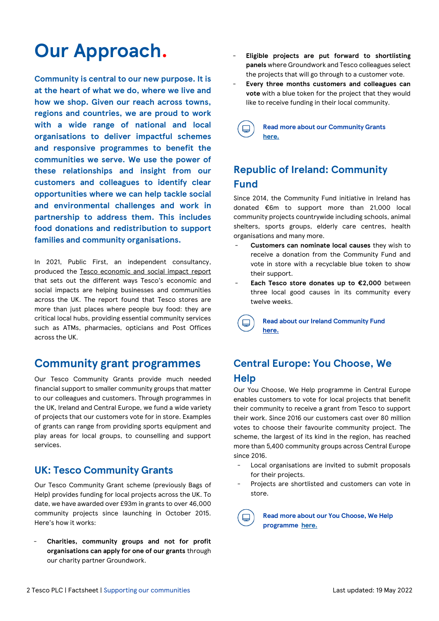### **Our Approach.**

**Community is central to our new purpose. It is at the heart of what we do, where we live and how we shop. Given our reach across towns, regions and countries, we are proud to work with a wide range of national and local organisations to deliver impactful schemes and responsive programmes to benefit the communities we serve. We use the power of these relationships and insight from our customers and colleagues to identify clear opportunities where we can help tackle social and environmental challenges and work in partnership to address them. This includes food donations and redistribution to support families and community organisations.** 

In 2021, Public First, an independent consultancy, produced the [Tesco economic and social impact](https://www.tescoplc.com/media/757906/tesco_impact_report.pdf) report that sets out the different ways Tesco's economic and social impacts are helping businesses and communities across the UK. The report found that Tesco stores are more than just places where people buy food: they are critical local hubs, providing essential community services such as ATMs, pharmacies, opticians and Post Offices across the UK.

### **Community grant programmes**

Our Tesco Community Grants provide much needed financial support to smaller community groups that matter to our colleagues and customers. Through programmes in the UK, Ireland and Central Europe, we fund a wide variety of projects that our customers vote for in store. Examples of grants can range from providing sports equipment and play areas for local groups, to counselling and support services.

### **UK: Tesco Community Grants**

Our Tesco Community Grant scheme (previously Bags of Help) provides funding for local projects across the UK. To date, we have awarded over £93m in grants to over 46,000 community projects since launching in October 2015. Here's how it works:

- **Charities, community groups and not for profit organisations can apply for one of our grants** through our charity partner Groundwork.

- **Eligible projects are put forward to shortlisting panels** where Groundwork and Tesco colleagues select the projects that will go through to a customer vote.
- **Every three months customers and colleagues can vote** with a blue token for the project that they would like to receive funding in their local community.

**Read more about our Community Grants [here.](https://www.tescoplc.com/sustainability/taking-action/community/community-grants/)**

### **Republic of Ireland: Community Fund**

Since 2014, the Community Fund initiative in Ireland has donated €6m to support more than 21,000 local community projects countrywide including schools, animal shelters, sports groups, elderly care centres, health organisations and many more.

- Customers can nominate local causes they wish to receive a donation from the Community Fund and vote in store with a recyclable blue token to show their support.
- **Each Tesco store donates up to €2,000** between three local good causes in its community every twelve weeks.

**Read about our Ireland Community Fund**   $\Box$ **[here.](https://tescoireland.ie/sustainability/places/community-fund/)**

### **Central Europe: You Choose, We Help**

Our You Choose, We Help programme in Central Europe enables customers to vote for local projects that benefit their community to receive a grant from Tesco to support their work. Since 2016 our customers cast over 80 million votes to choose their favourite community project. The scheme, the largest of its kind in the region, has reached more than 5,400 community groups across Central Europe since 2016.

- Local organisations are invited to submit proposals for their projects.
- Projects are shortlisted and customers can vote in store.

**Read more about our You Choose, We Help programme [here.](https://www.tescoplc.com/sustainability/taking-action/community/community-grants/)**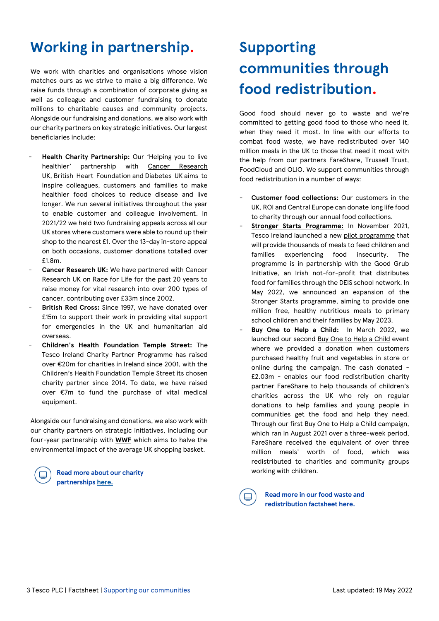### **Working in partnership.**

We work with charities and organisations whose vision matches ours as we strive to make a big difference. We raise funds through a combination of corporate giving as well as colleague and customer fundraising to donate millions to charitable causes and community projects. Alongside our fundraising and donations, we also work with our charity partners on key strategic initiatives. Our largest beneficiaries include:

- [Health Charity Partnership:](https://www.tescoplc.com/sustainability/taking-action/community/charity-partnerships/health-charity-partnerships/) Our 'Helping you to live healthier' partnership with Cancer Research [UK,](https://www.cancerresearchuk.org/) [British Heart Foundation](https://www.bhf.org.uk/) and [Diabetes UK](https://www.diabetes.org.uk/) aims to inspire colleagues, customers and families to make healthier food choices to reduce disease and live longer. We run several initiatives throughout the year to enable customer and colleague involvement. In 2021/22 we held two fundraising appeals across all our UK stores where customers were able to round up their shop to the nearest £1. Over the 13-day in-store appeal on both occasions, customer donations totalled over £1.8m.
- Cancer Research UK: We have partnered with Cancer Research UK on Race for Life for the past 20 years to raise money for vital research into over 200 types of cancer, contributing over £33m since 2002.
- **British Red Cross:** Since 1997, we have donated over £15m to support their work in providing vital support for emergencies in the UK and humanitarian aid overseas.
- **Children's Health Foundation Temple Street:** The Tesco Ireland Charity Partner Programme has raised over €20m for charities in Ireland since 2001, with the Children's Health Foundation Temple Street its chosen charity partner since 2014. To date, we have raised over €7m to fund the purchase of vital medical equipment.

Alongside our fundraising and donations, we also work with our charity partners on strategic initiatives, including our four-year partnership with **[WWF](https://www.tescoplc.com/sustainability/taking-action/environment/wwf/)** which aims to halve the environmental impact of the average UK shopping basket.

> **Read more about our charity partnership[s here.](https://www.tescoplc.com/sustainability/taking-action/community/charity-partnerships/health-charity-partnerships/)**

### **Supporting communities through food redistribution.**

Good food should never go to waste and we're committed to getting good food to those who need it, when they need it most. In line with our efforts to combat food waste, we have redistributed over 140 million meals in the UK to those that need it most with the help from our partners FareShare, Trussell Trust, FoodCloud and OLIO. We support communities through food redistribution in a number of ways:

- Customer food collections: Our customers in the UK, ROI and Central Europe can donate long life food to charity through our annual food collections.
- [Stronger Starts Programme:](https://tescoireland.ie/sustainability/places/stronger-starts/) In November 2021, Tesco Ireland launched a new [pilot programme](https://tescoireland.ie/news/2022/tesco-to-pilot-stronger-starts-programme-for-school-children-and-their-families-nationwide/) that will provide thousands of meals to feed children and families experiencing food insecurity. The programme is in partnership with the Good Grub Initiative, an Irish not-for-profit that distributes food for families through the DEIS school network. In May 2022, we [announced an](https://tescoireland.ie/news/2022/tesco-to-provide-one-million-meals-to-school-children-and-their-families-nationwide-through-expanded-stronger-starts-programme/) expansion of the Stronger Starts programme, aiming to provide one million free, healthy nutritious meals to primary school children and their families by May 2023.
- **Buy One to Help a Child:** In March 2022, we launched our second [Buy One to Help a Child](https://www.tescoplc.com/news/2022/sales-of-fruit-and-veg-will-fund-meals-for-children-in-tesco-s-buy-one-to-help-a-child-campaign/) event where we provided a donation when customers purchased healthy fruit and vegetables in store or online during the campaign. The cash donated - £2.03m - enables our food redistribution charity partner FareShare to help thousands of children's charities across the UK who rely on regular donations to help families and young people in communities get the food and help they need. Through our first Buy One to Help a Child campaign, which ran in August 2021 over a three-week period, FareShare received the equivalent of over three million meals' worth of food, which was redistributed to charities and community groups working with children.

**Read more in our food waste and redistribution factshee[t here.](https://www.tescoplc.com/media/759013/food-waste-and-redistribution-factsheet.pdf)**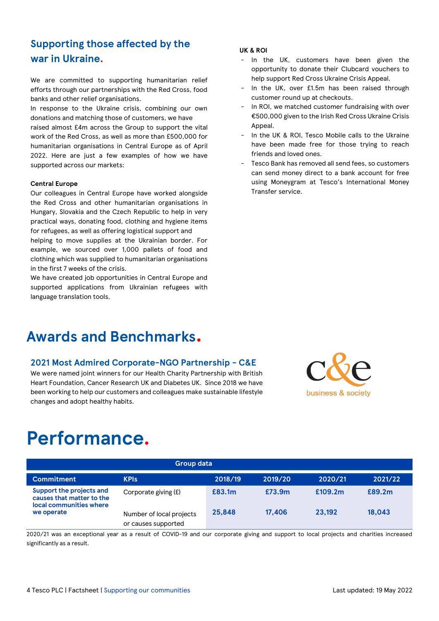### **Supporting those affected by the war in Ukraine.**

We are committed to supporting humanitarian relief efforts through our partnerships with the Red Cross, food banks and other relief organisations.

In response to the Ukraine crisis, combining our own donations and matching those of customers, we have raised almost £4m across the Group to support the vital work of the Red Cross, as well as more than £500,000 for humanitarian organisations in Central Europe as of April 2022. Here are just a few examples of how we have supported across our markets:

#### **Central Europe**

Our colleagues in Central Europe have worked alongside the Red Cross and other humanitarian organisations in Hungary, Slovakia and the Czech Republic to help in very practical ways, donating food, clothing and hygiene items for refugees, as well as offering logistical support and

helping to move supplies at the Ukrainian border. For example, we sourced over 1,000 pallets of food and clothing which was supplied to humanitarian organisations in the first 7 weeks of the crisis.

We have created job opportunities in Central Europe and supported applications from Ukrainian refugees with language translation tools.

### **Awards and Benchmarks.**

### **2021 Most Admired Corporate-NGO Partnership - C&E**

We were named joint winners for our Health Charity Partnership with British Heart Foundation, Cancer Research UK and Diabetes UK. Since 2018 we have been working to help our customers and colleagues make sustainable lifestyle changes and adopt healthy habits.

# business & society

### **Performance.**

| <b>Group data</b>                                                                              |                                                 |         |         |         |         |
|------------------------------------------------------------------------------------------------|-------------------------------------------------|---------|---------|---------|---------|
| <b>Commitment</b>                                                                              | <b>KPIs</b>                                     | 2018/19 | 2019/20 | 2020/21 | 2021/22 |
| Support the projects and<br>causes that matter to the<br>local communities where<br>we operate | Corporate giving (£)                            | £83.1m  | £73.9m  | £109.2m | £89.2m  |
|                                                                                                | Number of local projects<br>or causes supported | 25,848  | 17,406  | 23.192  | 18.043  |

2020/21 was an exceptional year as a result of COVID-19 and our corporate giving and support to local projects and charities increased significantly as a result.

#### **UK & ROI**

- In the UK, customers have been given the opportunity to donate their Clubcard vouchers to help support Red Cross Ukraine Crisis Appeal.
- In the UK, over £1.5m has been raised through customer round up at checkouts.
- In ROI, we matched customer fundraising with over €500,000 given to the Irish Red Cross Ukraine Crisis Appeal.
- In the UK & ROI, Tesco Mobile calls to the Ukraine have been made free for those trying to reach friends and loved ones.
- Tesco Bank has removed all send fees, so customers can send money direct to a bank account for free using Moneygram at Tesco's International Money Transfer service.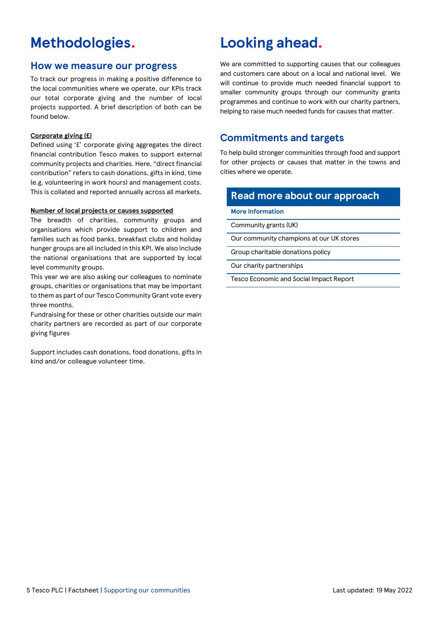### **Methodologies.**

### **How we measure our progress**

To track our progress in making a positive difference to the local communities where we operate, our KPIs track our total corporate giving and the number of local projects supported. A brief description of both can be found below.

#### **Corporate giving (£)**

Defined using '£' corporate giving aggregates the direct financial contribution Tesco makes to support external community projects and charities. Here, "direct financial contribution" refers to cash donations, gifts in kind, time (e.g. volunteering in work hours) and management costs. This is collated and reported annually across all markets.

#### **Number of local projects or causes supported**

The breadth of charities, community groups and organisations which provide support to children and families such as food banks, breakfast clubs and holiday hunger groups are all included in this KPI. We also include the national organisations that are supported by local level community groups.

This year we are also asking our colleagues to nominate groups, charities or organisations that may be important to them as part of our Tesco Community Grant vote every three months.

Fundraising for these or other charities outside our main charity partners are recorded as part of our corporate giving figures

Support includes cash donations, food donations, gifts in kind and/or colleague volunteer time.

### **Looking ahead.**

We are committed to supporting causes that our colleagues and customers care about on a local and national level. We will continue to provide much needed financial support to smaller community groups through our community grants programmes and continue to work with our charity partners, helping to raise much needed funds for causes that matter.

### **Commitments and targets**

To help build stronger communities through food and support for other projects or causes that matter in the towns and cities where we operate.

### **Read more about our approach**

**More Information**

[Community grants \(UK\)](https://www.tescoplc.com/sustainability/taking-action/community/community-grants/tesco-community-grants/)

[Our community champions at our UK stores](https://www.tescoplc.com/media/756963/community-champion-list-feb-2021.pdf)

[Group charitable donations policy](https://www.tescoplc.com/sustainability/documents/policies/group-charitable-donations-policy/)

[Our charity partnerships](https://www.tescoplc.com/sustainability/taking-action/community/charity-partnerships/)

[Tesco Economic and Social Impact Report](https://www.tescoplc.com/media/757906/tesco_impact_report.pdf)